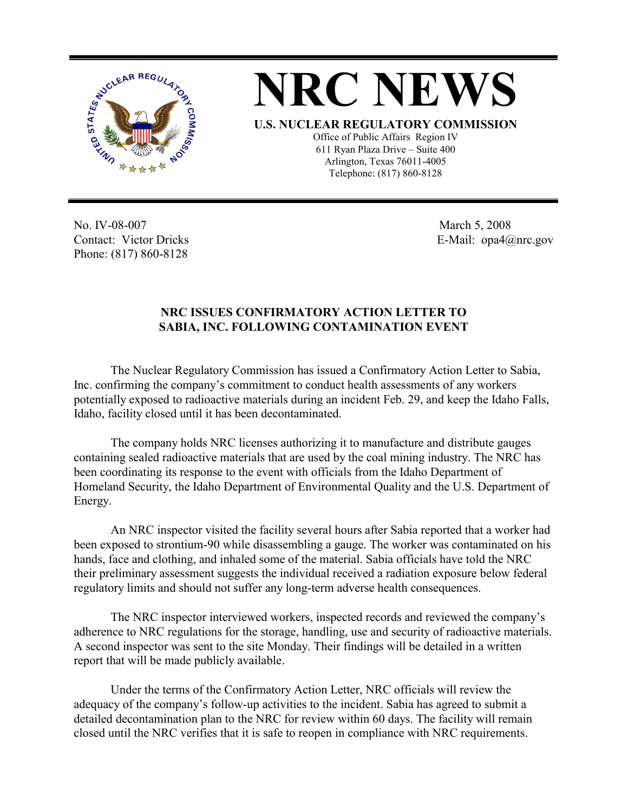

**NRC NEWS U.S. NUCLEAR REGULATORY COMMISSION** Office of Public Affairs Region IV 611 Ryan Plaza Drive – Suite 400 Arlington, Texas 76011-4005 Telephone: (817) 860-8128

No. IV-08-007 Contact: Victor Dricks Phone: (817) 860-8128

 March 5, 2008 E-Mail: opa4@nrc.gov

## **NRC ISSUES CONFIRMATORY ACTION LETTER TO SABIA, INC. FOLLOWING CONTAMINATION EVENT**

 The Nuclear Regulatory Commission has issued a Confirmatory Action Letter to Sabia, Inc. confirming the company's commitment to conduct health assessments of any workers potentially exposed to radioactive materials during an incident Feb. 29, and keep the Idaho Falls, Idaho, facility closed until it has been decontaminated.

 The company holds NRC licenses authorizing it to manufacture and distribute gauges containing sealed radioactive materials that are used by the coal mining industry. The NRC has been coordinating its response to the event with officials from the Idaho Department of Homeland Security, the Idaho Department of Environmental Quality and the U.S. Department of Energy.

 An NRC inspector visited the facility several hours after Sabia reported that a worker had been exposed to strontium-90 while disassembling a gauge. The worker was contaminated on his hands, face and clothing, and inhaled some of the material. Sabia officials have told the NRC their preliminary assessment suggests the individual received a radiation exposure below federal regulatory limits and should not suffer any long-term adverse health consequences.

The NRC inspector interviewed workers, inspected records and reviewed the company's adherence to NRC regulations for the storage, handling, use and security of radioactive materials. A second inspector was sent to the site Monday. Their findings will be detailed in a written report that will be made publicly available.

 Under the terms of the Confirmatory Action Letter, NRC officials will review the adequacy of the company's follow-up activities to the incident. Sabia has agreed to submit a detailed decontamination plan to the NRC for review within 60 days. The facility will remain closed until the NRC verifies that it is safe to reopen in compliance with NRC requirements.